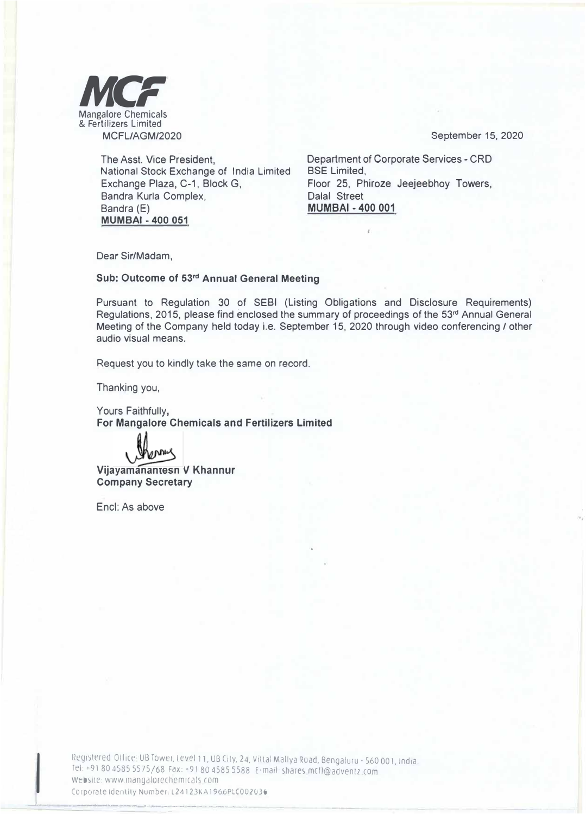

September 15, 2020

The Asst. Vice President, National Stock Exchange of India Limited Exchange Plaza, C-1, Block G, Bandra Kurla Complex, Bandra (E) **MUMBAI - 400 051** 

Department of Corporate Services - CRD BSE Limited, Floor 25, Phiroze Jeejeebhoy Towers, Dalal Street **MUMBAI - 400 001** 

Dear Sir/Madam,

## **Sub: Outcome of 53rd Annual General Meeting**

Pursuant to Regulation 30 of SEBI (Listing Obligations and Disclosure Requirements) Regulations, 2015, please find enclosed the summary of proceedings of the 53<sup>rd</sup> Annual General Meeting of the Company held today i.e. September 15, 2020 through video conferencing / other audio visual means.

Request you to kindly take the same on record.

Thanking you,

Yours Faithfully, **For Mangalore Chemicals and Fertilizers Limited** 

**kenning** 

**Vijayamahantesh V Khannur Company Secretary** 

Encl: As above

**l** 

The collectivity of the first and with the March 2. The seconds were

\_\_\_J -

Registered Office UB Tower, Level 11, UB City, 24, Vittal Mallya Road, Bengaluru - 560 001, India. rel:• 91804585 5575/68 Fax: •91804585 5588 E-mail: shares mcfl@adventz com Website: www.mangalorechemicals com Corporate Identity Number. L24123KA 1960PLCOO2O36

... �,-- ...... ,\_ ·- --- - - - -- .. -·-